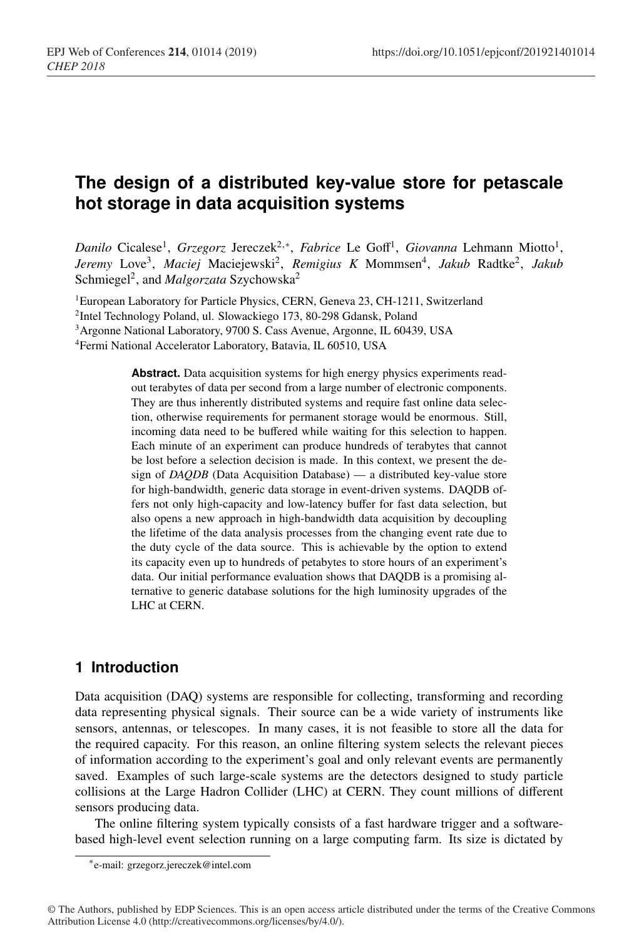# **The design of a distributed key-value store for petascale hot storage in data acquisition systems**

*Danilo* Cicalese<sup>1</sup>, *Grzegorz* Jereczek<sup>2,∗</sup>, *Fabrice* Le Goff<sup>1</sup>, *Giovanna* Lehmann Miotto<sup>1</sup>, *Jeremy* Love3, *Maciej* Maciejewski2, *Remigius K* Mommsen4, *Jakub* Radtke2, *Jakub* Schmiegel<sup>2</sup>, and *Malgorzata* Szychowska<sup>2</sup>

<sup>1</sup>European Laboratory for Particle Physics, CERN, Geneva 23, CH-1211, Switzerland

2Intel Technology Poland, ul. Slowackiego 173, 80-298 Gdansk, Poland

3Argonne National Laboratory, 9700 S. Cass Avenue, Argonne, IL 60439, USA

4Fermi National Accelerator Laboratory, Batavia, IL 60510, USA

**Abstract.** Data acquisition systems for high energy physics experiments readout terabytes of data per second from a large number of electronic components. They are thus inherently distributed systems and require fast online data selection, otherwise requirements for permanent storage would be enormous. Still, incoming data need to be buffered while waiting for this selection to happen. Each minute of an experiment can produce hundreds of terabytes that cannot be lost before a selection decision is made. In this context, we present the design of *DAQDB* (Data Acquisition Database) — a distributed key-value store for high-bandwidth, generic data storage in event-driven systems. DAQDB offers not only high-capacity and low-latency buffer for fast data selection, but also opens a new approach in high-bandwidth data acquisition by decoupling the lifetime of the data analysis processes from the changing event rate due to the duty cycle of the data source. This is achievable by the option to extend its capacity even up to hundreds of petabytes to store hours of an experiment's data. Our initial performance evaluation shows that DAQDB is a promising alternative to generic database solutions for the high luminosity upgrades of the LHC at CERN.

# **1 Introduction**

Data acquisition (DAQ) systems are responsible for collecting, transforming and recording data representing physical signals. Their source can be a wide variety of instruments like sensors, antennas, or telescopes. In many cases, it is not feasible to store all the data for the required capacity. For this reason, an online filtering system selects the relevant pieces of information according to the experiment's goal and only relevant events are permanently saved. Examples of such large-scale systems are the detectors designed to study particle collisions at the Large Hadron Collider (LHC) at CERN. They count millions of different sensors producing data.

The online filtering system typically consists of a fast hardware trigger and a softwarebased high-level event selection running on a large computing farm. Its size is dictated by

<sup>∗</sup>e-mail: grzegorz.jereczek@intel.com

<sup>©</sup> The Authors, published by EDP Sciences. This is an open access article distributed under the terms of the Creative Commons Attribution License 4.0 (http://creativecommons.org/licenses/by/4.0/).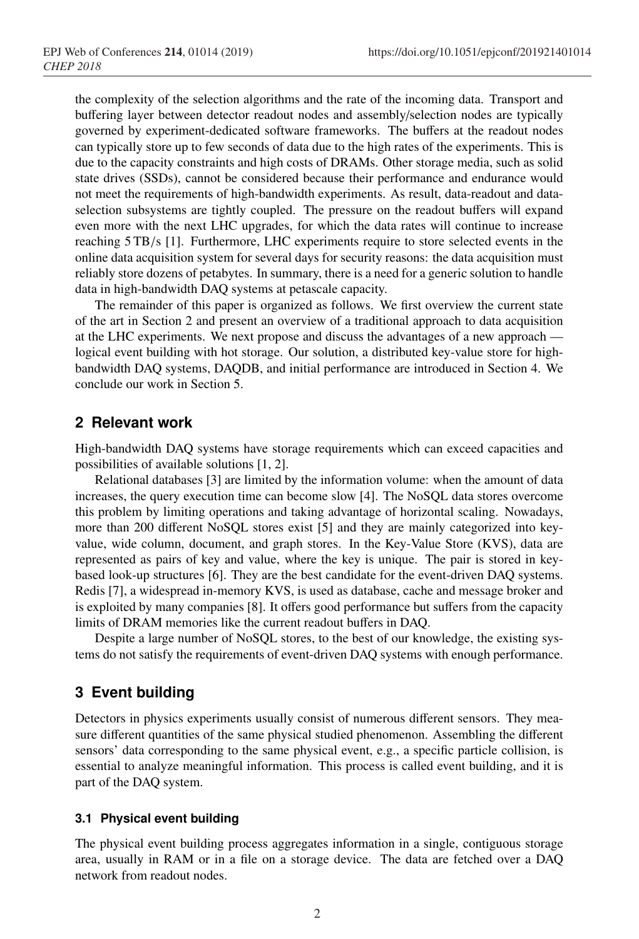the complexity of the selection algorithms and the rate of the incoming data. Transport and buffering layer between detector readout nodes and assembly/selection nodes are typically governed by experiment-dedicated software frameworks. The buffers at the readout nodes can typically store up to few seconds of data due to the high rates of the experiments. This is due to the capacity constraints and high costs of DRAMs. Other storage media, such as solid state drives (SSDs), cannot be considered because their performance and endurance would not meet the requirements of high-bandwidth experiments. As result, data-readout and dataselection subsystems are tightly coupled. The pressure on the readout buffers will expand even more with the next LHC upgrades, for which the data rates will continue to increase reaching 5 TB/s [1]. Furthermore, LHC experiments require to store selected events in the online data acquisition system for several days for security reasons: the data acquisition must reliably store dozens of petabytes. In summary, there is a need for a generic solution to handle data in high-bandwidth DAQ systems at petascale capacity.

The remainder of this paper is organized as follows. We first overview the current state of the art in Section 2 and present an overview of a traditional approach to data acquisition at the LHC experiments. We next propose and discuss the advantages of a new approach logical event building with hot storage. Our solution, a distributed key-value store for highbandwidth DAQ systems, DAQDB, and initial performance are introduced in Section 4. We conclude our work in Section 5.

## **2 Relevant work**

High-bandwidth DAQ systems have storage requirements which can exceed capacities and possibilities of available solutions [1, 2].

Relational databases [3] are limited by the information volume: when the amount of data increases, the query execution time can become slow [4]. The NoSQL data stores overcome this problem by limiting operations and taking advantage of horizontal scaling. Nowadays, more than 200 different NoSQL stores exist [5] and they are mainly categorized into keyvalue, wide column, document, and graph stores. In the Key-Value Store (KVS), data are represented as pairs of key and value, where the key is unique. The pair is stored in keybased look-up structures [6]. They are the best candidate for the event-driven DAQ systems. Redis [7], a widespread in-memory KVS, is used as database, cache and message broker and is exploited by many companies [8]. It offers good performance but suffers from the capacity limits of DRAM memories like the current readout buffers in DAQ.

Despite a large number of NoSQL stores, to the best of our knowledge, the existing systems do not satisfy the requirements of event-driven DAQ systems with enough performance.

# **3 Event building**

Detectors in physics experiments usually consist of numerous different sensors. They measure different quantities of the same physical studied phenomenon. Assembling the different sensors' data corresponding to the same physical event, e.g., a specific particle collision, is essential to analyze meaningful information. This process is called event building, and it is part of the DAQ system.

### **3.1 Physical event building**

The physical event building process aggregates information in a single, contiguous storage area, usually in RAM or in a file on a storage device. The data are fetched over a DAQ network from readout nodes.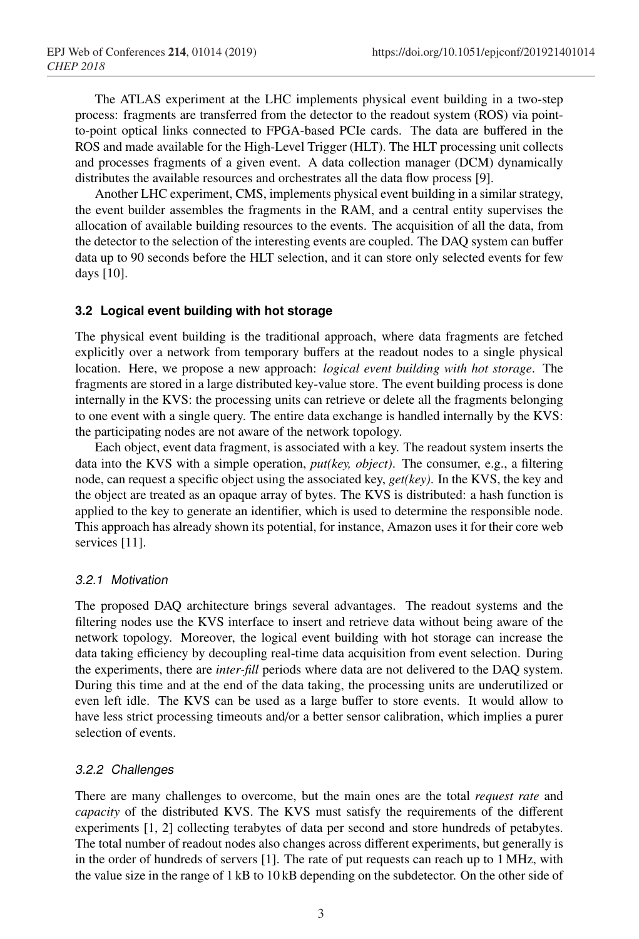The ATLAS experiment at the LHC implements physical event building in a two-step process: fragments are transferred from the detector to the readout system (ROS) via pointto-point optical links connected to FPGA-based PCIe cards. The data are buffered in the ROS and made available for the High-Level Trigger (HLT). The HLT processing unit collects and processes fragments of a given event. A data collection manager (DCM) dynamically distributes the available resources and orchestrates all the data flow process [9].

Another LHC experiment, CMS, implements physical event building in a similar strategy, the event builder assembles the fragments in the RAM, and a central entity supervises the allocation of available building resources to the events. The acquisition of all the data, from the detector to the selection of the interesting events are coupled. The DAQ system can buffer data up to 90 seconds before the HLT selection, and it can store only selected events for few days [10].

### **3.2 Logical event building with hot storage**

The physical event building is the traditional approach, where data fragments are fetched explicitly over a network from temporary buffers at the readout nodes to a single physical location. Here, we propose a new approach: *logical event building with hot storage*. The fragments are stored in a large distributed key-value store. The event building process is done internally in the KVS: the processing units can retrieve or delete all the fragments belonging to one event with a single query. The entire data exchange is handled internally by the KVS: the participating nodes are not aware of the network topology.

Each object, event data fragment, is associated with a key. The readout system inserts the data into the KVS with a simple operation, *put(key, object)*. The consumer, e.g., a filtering node, can request a specific object using the associated key, *get(key)*. In the KVS, the key and the object are treated as an opaque array of bytes. The KVS is distributed: a hash function is applied to the key to generate an identifier, which is used to determine the responsible node. This approach has already shown its potential, for instance, Amazon uses it for their core web services [11].

#### *3.2.1 Motivation*

The proposed DAQ architecture brings several advantages. The readout systems and the filtering nodes use the KVS interface to insert and retrieve data without being aware of the network topology. Moreover, the logical event building with hot storage can increase the data taking efficiency by decoupling real-time data acquisition from event selection. During the experiments, there are *inter-fill* periods where data are not delivered to the DAQ system. During this time and at the end of the data taking, the processing units are underutilized or even left idle. The KVS can be used as a large buffer to store events. It would allow to have less strict processing timeouts and/or a better sensor calibration, which implies a purer selection of events.

### *3.2.2 Challenges*

There are many challenges to overcome, but the main ones are the total *request rate* and *capacity* of the distributed KVS. The KVS must satisfy the requirements of the different experiments [1, 2] collecting terabytes of data per second and store hundreds of petabytes. The total number of readout nodes also changes across different experiments, but generally is in the order of hundreds of servers [1]. The rate of put requests can reach up to 1 MHz, with the value size in the range of 1 kB to 10 kB depending on the subdetector. On the other side of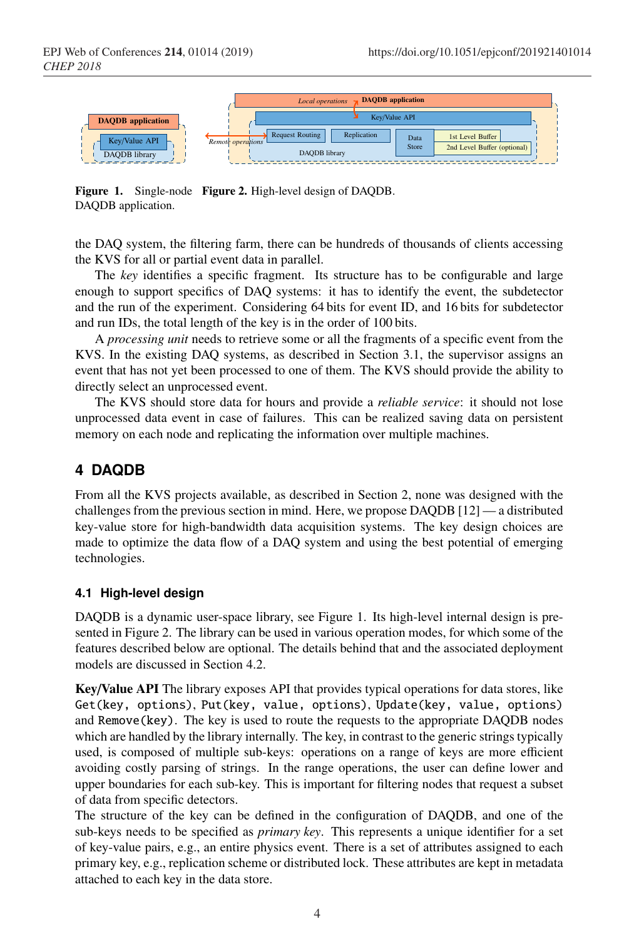

Figure 1. Single-node Figure 2. High-level design of DAQDB. DAQDB application.

the DAQ system, the filtering farm, there can be hundreds of thousands of clients accessing the KVS for all or partial event data in parallel.

The *key* identifies a specific fragment. Its structure has to be configurable and large enough to support specifics of DAQ systems: it has to identify the event, the subdetector and the run of the experiment. Considering 64 bits for event ID, and 16 bits for subdetector and run IDs, the total length of the key is in the order of 100 bits.

A *processing unit* needs to retrieve some or all the fragments of a specific event from the KVS. In the existing DAQ systems, as described in Section 3.1, the supervisor assigns an event that has not yet been processed to one of them. The KVS should provide the ability to directly select an unprocessed event.

The KVS should store data for hours and provide a *reliable service*: it should not lose unprocessed data event in case of failures. This can be realized saving data on persistent memory on each node and replicating the information over multiple machines.

# **4 DAQDB**

From all the KVS projects available, as described in Section 2, none was designed with the challenges from the previous section in mind. Here, we propose DAQDB [12] — a distributed key-value store for high-bandwidth data acquisition systems. The key design choices are made to optimize the data flow of a DAQ system and using the best potential of emerging technologies.

## **4.1 High-level design**

DAQDB is a dynamic user-space library, see Figure 1. Its high-level internal design is presented in Figure 2. The library can be used in various operation modes, for which some of the features described below are optional. The details behind that and the associated deployment models are discussed in Section 4.2.

Key/Value API The library exposes API that provides typical operations for data stores, like Get(key, options), Put(key, value, options), Update(key, value, options) and Remove(key). The key is used to route the requests to the appropriate DAQDB nodes which are handled by the library internally. The key, in contrast to the generic strings typically used, is composed of multiple sub-keys: operations on a range of keys are more efficient avoiding costly parsing of strings. In the range operations, the user can define lower and upper boundaries for each sub-key. This is important for filtering nodes that request a subset of data from specific detectors.

The structure of the key can be defined in the configuration of DAQDB, and one of the sub-keys needs to be specified as *primary key*. This represents a unique identifier for a set of key-value pairs, e.g., an entire physics event. There is a set of attributes assigned to each primary key, e.g., replication scheme or distributed lock. These attributes are kept in metadata attached to each key in the data store.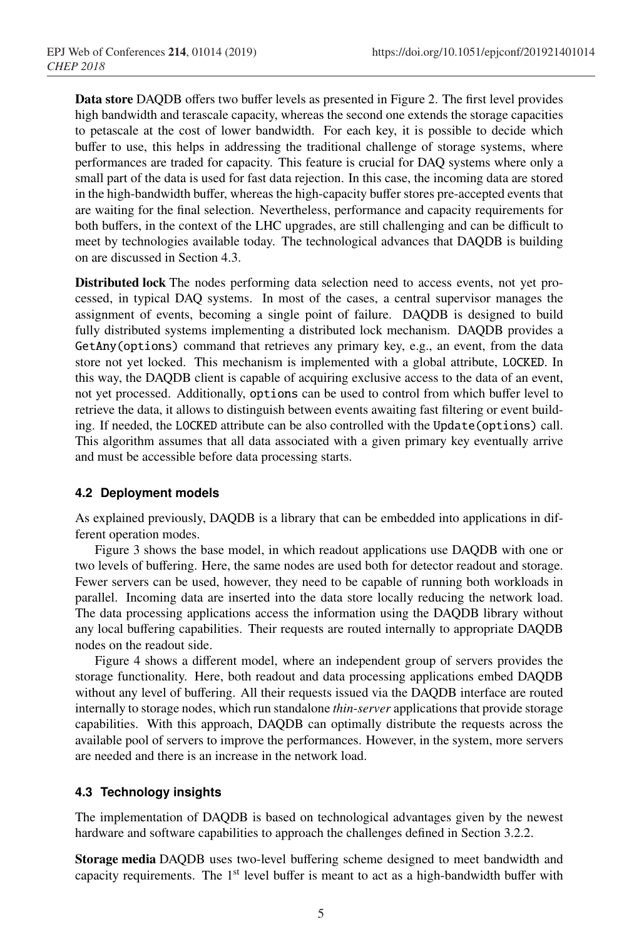Data store DAQDB offers two buffer levels as presented in Figure 2. The first level provides high bandwidth and terascale capacity, whereas the second one extends the storage capacities to petascale at the cost of lower bandwidth. For each key, it is possible to decide which buffer to use, this helps in addressing the traditional challenge of storage systems, where performances are traded for capacity. This feature is crucial for DAQ systems where only a small part of the data is used for fast data rejection. In this case, the incoming data are stored in the high-bandwidth buffer, whereas the high-capacity buffer stores pre-accepted events that are waiting for the final selection. Nevertheless, performance and capacity requirements for both buffers, in the context of the LHC upgrades, are still challenging and can be difficult to meet by technologies available today. The technological advances that DAQDB is building on are discussed in Section 4.3.

Distributed lock The nodes performing data selection need to access events, not yet processed, in typical DAQ systems. In most of the cases, a central supervisor manages the assignment of events, becoming a single point of failure. DAQDB is designed to build fully distributed systems implementing a distributed lock mechanism. DAQDB provides a GetAny(options) command that retrieves any primary key, e.g., an event, from the data store not yet locked. This mechanism is implemented with a global attribute, LOCKED. In this way, the DAQDB client is capable of acquiring exclusive access to the data of an event, not yet processed. Additionally, options can be used to control from which buffer level to retrieve the data, it allows to distinguish between events awaiting fast filtering or event building. If needed, the LOCKED attribute can be also controlled with the Update(options) call. This algorithm assumes that all data associated with a given primary key eventually arrive and must be accessible before data processing starts.

#### **4.2 Deployment models**

As explained previously, DAQDB is a library that can be embedded into applications in different operation modes.

Figure 3 shows the base model, in which readout applications use DAQDB with one or two levels of buffering. Here, the same nodes are used both for detector readout and storage. Fewer servers can be used, however, they need to be capable of running both workloads in parallel. Incoming data are inserted into the data store locally reducing the network load. The data processing applications access the information using the DAQDB library without any local buffering capabilities. Their requests are routed internally to appropriate DAQDB nodes on the readout side.

Figure 4 shows a different model, where an independent group of servers provides the storage functionality. Here, both readout and data processing applications embed DAQDB without any level of buffering. All their requests issued via the DAQDB interface are routed internally to storage nodes, which run standalone *thin-server* applications that provide storage capabilities. With this approach, DAQDB can optimally distribute the requests across the available pool of servers to improve the performances. However, in the system, more servers are needed and there is an increase in the network load.

### **4.3 Technology insights**

The implementation of DAQDB is based on technological advantages given by the newest hardware and software capabilities to approach the challenges defined in Section 3.2.2.

Storage media DAQDB uses two-level buffering scheme designed to meet bandwidth and capacity requirements. The 1<sup>st</sup> level buffer is meant to act as a high-bandwidth buffer with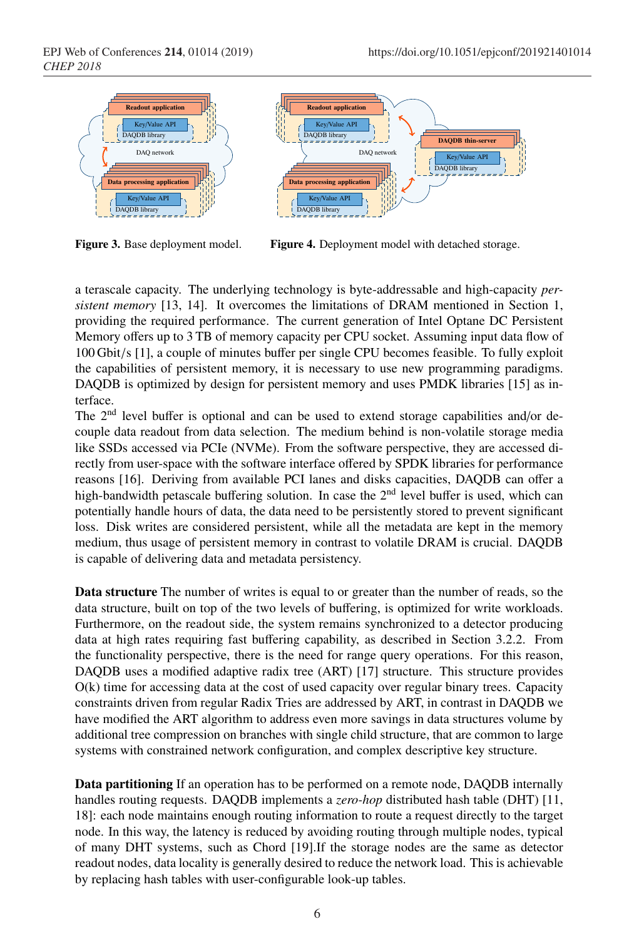

Figure 3. Base deployment model.



Figure 4. Deployment model with detached storage.

a terascale capacity. The underlying technology is byte-addressable and high-capacity *persistent memory* [13, 14]. It overcomes the limitations of DRAM mentioned in Section 1, providing the required performance. The current generation of Intel Optane DC Persistent Memory offers up to 3 TB of memory capacity per CPU socket. Assuming input data flow of 100 Gbit/s [1], a couple of minutes buffer per single CPU becomes feasible. To fully exploit the capabilities of persistent memory, it is necessary to use new programming paradigms. DAQDB is optimized by design for persistent memory and uses PMDK libraries [15] as interface.

The 2<sup>nd</sup> level buffer is optional and can be used to extend storage capabilities and/or decouple data readout from data selection. The medium behind is non-volatile storage media like SSDs accessed via PCIe (NVMe). From the software perspective, they are accessed directly from user-space with the software interface offered by SPDK libraries for performance reasons [16]. Deriving from available PCI lanes and disks capacities, DAQDB can offer a high-bandwidth petascale buffering solution. In case the  $2<sup>nd</sup>$  level buffer is used, which can potentially handle hours of data, the data need to be persistently stored to prevent significant loss. Disk writes are considered persistent, while all the metadata are kept in the memory medium, thus usage of persistent memory in contrast to volatile DRAM is crucial. DAQDB is capable of delivering data and metadata persistency.

Data structure The number of writes is equal to or greater than the number of reads, so the data structure, built on top of the two levels of buffering, is optimized for write workloads. Furthermore, on the readout side, the system remains synchronized to a detector producing data at high rates requiring fast buffering capability, as described in Section 3.2.2. From the functionality perspective, there is the need for range query operations. For this reason, DAQDB uses a modified adaptive radix tree (ART) [17] structure. This structure provides O(k) time for accessing data at the cost of used capacity over regular binary trees. Capacity constraints driven from regular Radix Tries are addressed by ART, in contrast in DAQDB we have modified the ART algorithm to address even more savings in data structures volume by additional tree compression on branches with single child structure, that are common to large systems with constrained network configuration, and complex descriptive key structure.

Data partitioning If an operation has to be performed on a remote node, DAQDB internally handles routing requests. DAQDB implements a *zero-hop* distributed hash table (DHT) [11, 18]: each node maintains enough routing information to route a request directly to the target node. In this way, the latency is reduced by avoiding routing through multiple nodes, typical of many DHT systems, such as Chord [19].If the storage nodes are the same as detector readout nodes, data locality is generally desired to reduce the network load. This is achievable by replacing hash tables with user-configurable look-up tables.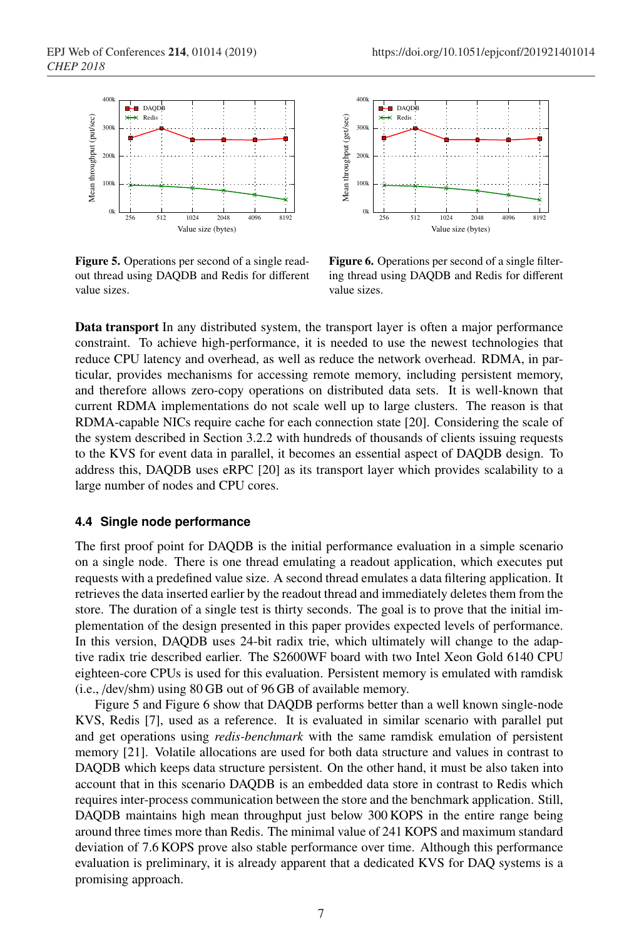

Figure 5. Operations per second of a single readout thread using DAQDB and Redis for different value sizes.





Figure 6. Operations per second of a single filtering thread using DAQDB and Redis for different value sizes.

Data transport In any distributed system, the transport layer is often a major performance constraint. To achieve high-performance, it is needed to use the newest technologies that reduce CPU latency and overhead, as well as reduce the network overhead. RDMA, in particular, provides mechanisms for accessing remote memory, including persistent memory, and therefore allows zero-copy operations on distributed data sets. It is well-known that current RDMA implementations do not scale well up to large clusters. The reason is that RDMA-capable NICs require cache for each connection state [20]. Considering the scale of the system described in Section 3.2.2 with hundreds of thousands of clients issuing requests to the KVS for event data in parallel, it becomes an essential aspect of DAQDB design. To address this, DAQDB uses eRPC [20] as its transport layer which provides scalability to a large number of nodes and CPU cores.

### **4.4 Single node performance**

The first proof point for DAQDB is the initial performance evaluation in a simple scenario on a single node. There is one thread emulating a readout application, which executes put requests with a predefined value size. A second thread emulates a data filtering application. It retrieves the data inserted earlier by the readout thread and immediately deletes them from the store. The duration of a single test is thirty seconds. The goal is to prove that the initial implementation of the design presented in this paper provides expected levels of performance. In this version, DAQDB uses 24-bit radix trie, which ultimately will change to the adaptive radix trie described earlier. The S2600WF board with two Intel Xeon Gold 6140 CPU eighteen-core CPUs is used for this evaluation. Persistent memory is emulated with ramdisk (i.e., /dev/shm) using 80 GB out of 96 GB of available memory.

Figure 5 and Figure 6 show that DAQDB performs better than a well known single-node KVS, Redis [7], used as a reference. It is evaluated in similar scenario with parallel put and get operations using *redis-benchmark* with the same ramdisk emulation of persistent memory [21]. Volatile allocations are used for both data structure and values in contrast to DAQDB which keeps data structure persistent. On the other hand, it must be also taken into account that in this scenario DAQDB is an embedded data store in contrast to Redis which requires inter-process communication between the store and the benchmark application. Still, DAQDB maintains high mean throughput just below 300 KOPS in the entire range being around three times more than Redis. The minimal value of 241 KOPS and maximum standard deviation of 7.6 KOPS prove also stable performance over time. Although this performance evaluation is preliminary, it is already apparent that a dedicated KVS for DAQ systems is a promising approach.